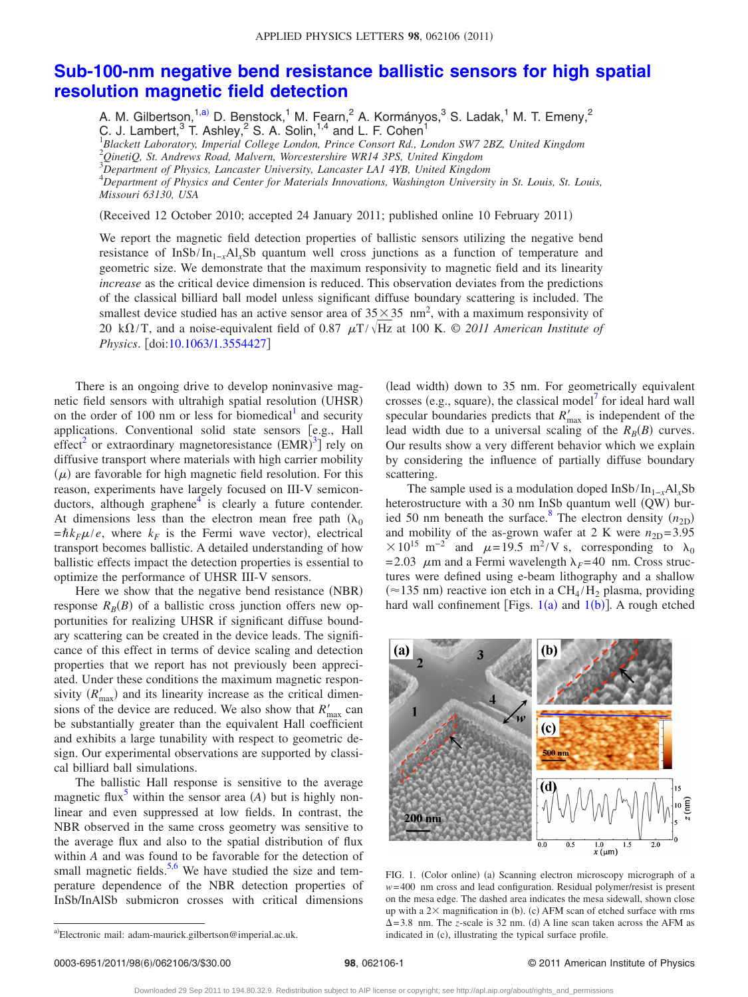## **[Sub-100-nm negative bend resistance ballistic sensors for high spatial](http://dx.doi.org/10.1063/1.3554427) [resolution magnetic field detection](http://dx.doi.org/10.1063/1.3554427)**

A. M. Gilbertson, <sup>1[,a](#page-0-0))</sup> D. Benstock, <sup>1</sup> M. Fearn, <sup>2</sup> A. Kormányos, <sup>3</sup> S. Ladak, <sup>1</sup> M. T. Emeny, <sup>2</sup> C. J. Lambert,<sup>3</sup> T. Ashley,<sup>2</sup> S. A. Solin,<sup>1,4</sup> and L. F. Cohen<sup>1</sup><br><sup>1</sup>Blackett Laboratory, Imperial College London, Prince Consort Rd., London SW7 2BZ, United Kingdom

2 *QinetiQ, St. Andrews Road, Malvern, Worcestershire WR14 3PS, United Kingdom*

3 *Department of Physics, Lancaster University, Lancaster LA1 4YB, United Kingdom*

4 *Department of Physics and Center for Materials Innovations, Washington University in St. Louis, St. Louis, Missouri 63130, USA*

(Received 12 October 2010; accepted 24 January 2011; published online 10 February 2011)

We report the magnetic field detection properties of ballistic sensors utilizing the negative bend resistance of InSb/In1−*x*Al*x*Sb quantum well cross junctions as a function of temperature and geometric size. We demonstrate that the maximum responsivity to magnetic field and its linearity *increase* as the critical device dimension is reduced. This observation deviates from the predictions of the classical billiard ball model unless significant diffuse boundary scattering is included. The smallest device studied has an active sensor area of  $35 \times 35$  nm<sup>2</sup>, with a maximum responsivity of 20 k $\Omega$ /T, and a noise-equivalent field of 0.87  $\mu$ T/ $\sqrt{Hz}$  at 100 K. © 2011 American Institute of *Physics.* [doi[:10.1063/1.3554427](http://dx.doi.org/10.1063/1.3554427)]

There is an ongoing drive to develop noninvasive magnetic field sensors with ultrahigh spatial resolution (UHSR) on the order of 100 nm or less for biomedical<sup>1</sup> and security applications. Conventional solid state sensors [e.g., Hall effect<sup>2</sup> or extraordinary magnetoresistance  $(EMR)^3$  $(EMR)^3$  rely on diffusive transport where materials with high carrier mobility  $(\mu)$  are favorable for high magnetic field resolution. For this reason, experiments have largely focused on III-V semiconductors, although graphene $4$  is clearly a future contender. At dimensions less than the electron mean free path  $(\lambda_0)$  $=\hbar k_F \mu / e$ , where  $k_F$  is the Fermi wave vector), electrical transport becomes ballistic. A detailed understanding of how ballistic effects impact the detection properties is essential to optimize the performance of UHSR III-V sensors.

Here we show that the negative bend resistance (NBR) response  $R_B(B)$  of a ballistic cross junction offers new opportunities for realizing UHSR if significant diffuse boundary scattering can be created in the device leads. The significance of this effect in terms of device scaling and detection properties that we report has not previously been appreciated. Under these conditions the maximum magnetic responsivity  $(R'_{\text{max}})$  and its linearity increase as the critical dimensions of the device are reduced. We also show that  $R'_{\text{max}}$  can be substantially greater than the equivalent Hall coefficient and exhibits a large tunability with respect to geometric design. Our experimental observations are supported by classical billiard ball simulations.

The ballistic Hall response is sensitive to the average magnetic flux<sup>5</sup> within the sensor area  $(A)$  but is highly nonlinear and even suppressed at low fields. In contrast, the NBR observed in the same cross geometry was sensitive to the average flux and also to the spatial distribution of flux within *A* and was found to be favorable for the detection of small magnetic fields.<sup>5[,6](#page-2-5)</sup> We have studied the size and temperature dependence of the NBR detection properties of InSb/InAlSb submicron crosses with critical dimensions

(lead width) down to 35 nm. For geometrically equivalent crosses (e.g., square), the classical model<sup>7</sup> for ideal hard wall specular boundaries predicts that  $R'_{\text{max}}$  is independent of the lead width due to a universal scaling of the  $R_B(B)$  curves. Our results show a very different behavior which we explain by considering the influence of partially diffuse boundary scattering.

The sample used is a modulation doped InSb/In1−*x*Al*x*Sb heterostructure with a 30 nm InSb quantum well (QW) buried 50 nm beneath the surface.<sup>8</sup> The electron density  $(n_{2D})$ and mobility of the as-grown wafer at 2 K were  $n_{2D} = 3.95$  $\times 10^{15}$  m<sup>-2</sup> and  $\mu$ =19.5 m<sup>2</sup>/V s, corresponding to  $\lambda_0$ = 2.03  $\mu$ m and a Fermi wavelength  $\lambda_F$ = 40 nm. Cross structures were defined using e-beam lithography and a shallow  $(\approx 135 \text{ nm})$  reactive ion etch [in a C](#page-0-1)H<sub>4</sub>/H<sub>2</sub> plasma, providing hard wall confinement [Figs.  $1(a)$  $1(a)$  and  $1(b)$ ]. A rough etched

<span id="page-0-1"></span>

FIG. 1. (Color online) (a) Scanning electron microscopy micrograph of a *w*= 400 nm cross and lead configuration. Residual polymer/resist is present on the mesa edge. The dashed area indicates the mesa sidewall, shown close up with a  $2\times$  magnification in (b). (c) AFM scan of etched surface with rms  $\Delta = 3.8$  nm. The *z*-scale is 32 nm. (d) A line scan taken across the AFM as indicated in (c), illustrating the typical surface profile.

<span id="page-0-0"></span>a)Electronic mail: adam-maurick.gilbertson@imperial.ac.uk.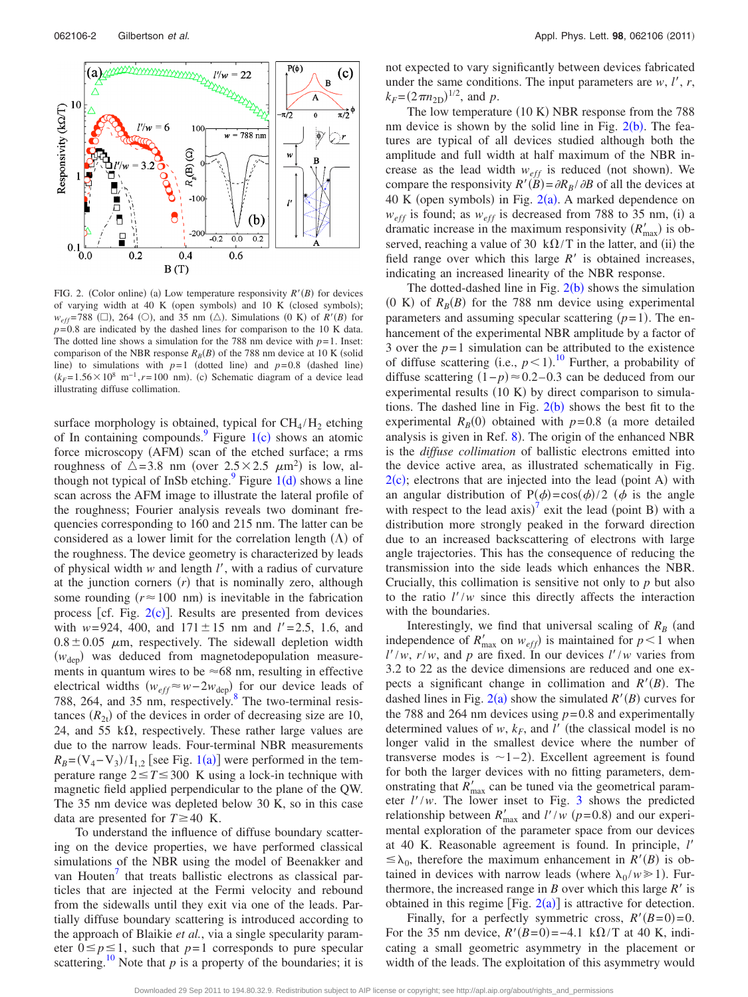<span id="page-1-0"></span>

FIG. 2. (Color online) (a) Low temperature responsivity  $R'(B)$  for devices of varying width at 40 K (open symbols) and 10 K (closed symbols);  $w_{eff}$ =788 ( $\square$ ), 264 ( $\bigcirc$ ), and 35 nm ( $\triangle$ ). Simulations (0 K) of *R'*(*B*) for  $p=0.8$  are indicated by the dashed lines for comparison to the 10 K data. The dotted line shows a simulation for the 788 nm device with  $p=1$ . Inset: comparison of the NBR response  $R_B(B)$  of the 788 nm device at 10 K (solid line) to simulations with  $p=1$  (dotted line) and  $p=0.8$  (dashed line)  $(k_F=1.56\times10^8 \text{ m}^{-1}, r=100 \text{ nm})$ . (c) Schematic diagram of a device lead illustrating diffuse collimation.

surface morphology is obtained, typic[al for](#page-0-1)  $CH_4/H_2$  etching of In containing compounds.<sup>9</sup> Figure  $1(c)$  shows an atomic force microscopy (AFM) scan of the etched surface; a rms roughness of  $\triangle = 3.8$  nm (over  $2.5 \times 2.5$   $\mu$ m<sup>2</sup>) is low, although not typical of InSb etching.<sup>9</sup> Figure  $1(d)$  $1(d)$  shows a line scan across the AFM image to illustrate the lateral profile of the roughness; Fourier analysis reveals two dominant frequencies corresponding to 160 and 215 nm. The latter can be considered as a lower limit for the correlation length  $(\Lambda)$  of the roughness. The device geometry is characterized by leads of physical width *w* and length *l*-, with a radius of curvature at the junction corners  $(r)$  that is nominally zero, although some rounding  $(r \approx 100 \text{ nm})$  is inevitable in the fabrication process [cf. Fig.  $2(c)$  $2(c)$ ]. Results are presented from devices with  $w=924$ , 400, and  $171 \pm 15$  nm and  $l'=2.5$ , 1.6, and  $0.8 \pm 0.05$   $\mu$ m, respectively. The sidewall depletion width ( $w_{\text{dep}}$ ) was deduced from magnetodepopulation measurements in quantum wires to be  $\approx 68$  nm, resulting in effective electrical widths  $(w_{eff} ≈ w - 2w_{dep})$  for our device leads of 788, 264, and 35 nm, respectively.<sup>8</sup> The two-terminal resistances  $(R_{2t})$  of the devices in order of decreasing size are 10, 24, and 55 k $\Omega$ , respectively. These rather large values are due to the narrow leads. Four-terminal NBR measurements  $R_B = (V_4 - V_3)/I_{1,2}$  $R_B = (V_4 - V_3)/I_{1,2}$  $R_B = (V_4 - V_3)/I_{1,2}$  [see Fig. 1(a)] were performed in the temperature range  $2 \le T \le 300$  K using a lock-in technique with magnetic field applied perpendicular to the plane of the QW. The 35 nm device was depleted below 30 K, so in this case data are presented for  $T \ge 40$  K.

To understand the influence of diffuse boundary scattering on the device properties, we have performed classical simulations of the NBR using the model of Beenakker and van Houten<sup>'</sup> that treats ballistic electrons as classical particles that are injected at the Fermi velocity and rebound from the sidewalls until they exit via one of the leads. Partially diffuse boundary scattering is introduced according to the approach of Blaikie *et al.*, via a single specularity parameter  $0 \le p \le 1$ , such that  $p=1$  corresponds to pure specular scattering.<sup>10</sup> Note that  $p$  is a property of the boundaries; it is not expected to vary significantly between devices fabricated under the same conditions. The input parameters are  $w$ ,  $l'$ ,  $r$ ,  $k_F = (2 \pi n_{\text{2D}})^{1/2}$ , and *p*.

The low temperature  $(10 K)$  NBR response from the 788 nm device is shown by the solid line in Fig.  $2(b)$  $2(b)$ . The features are typical of all devices studied although both the amplitude and full width at half maximum of the NBR increase as the lead width  $w_{eff}$  is reduced (not shown). We compare the responsivity  $R'(B) = \partial R_B/\partial B$  of all the devices at 40 K (open symbols) in Fig.  $2(a)$  $2(a)$ . A marked dependence on  $w_{eff}$  is found; as  $w_{eff}$  is decreased from 788 to 35 nm, (i) a dramatic increase in the maximum responsivity  $(R'_{\text{max}})$  is observed, reaching a value of 30  $k\Omega/T$  in the latter, and (ii) the field range over which this large  $R'$  is obtained increases, indicating an increased linearity of the NBR response.

The dotted-dashed line in Fig.  $2(b)$  $2(b)$  shows the simulation (0 K) of  $R_B(B)$  for the 788 nm device using experimental parameters and assuming specular scattering  $(p=1)$ . The enhancement of the experimental NBR amplitude by a factor of 3 over the  $p=1$  simulation can be attributed to the existence of diffuse scattering (i.e.,  $p < 1$ ).<sup>[10](#page-2-9)</sup> Further, a probability of diffuse scattering  $(1-p) \approx 0.2 - 0.3$  can be deduced from our experimental results  $(10 K)$  by direct comparison to simulations. The dashed line in Fig.  $2(b)$  $2(b)$  shows the best fit to the experimental  $R_B(0)$  obtained with  $p=0.8$  (a more detailed analysis is given in Ref.  $8$ ). The origin of the enhanced NBR is the *diffuse collimation* of ballistic electrons emitted into the device active area, as illustrated schematically in Fig.  $2(c)$  $2(c)$ ; electrons that are injected into the lead (point A) with an angular distribution of P( $\phi$ )=cos( $\phi$ )/2 ( $\phi$  is the angle with respect to the lead  $axis)^7$  $axis)^7$  exit the lead (point B) with a distribution more strongly peaked in the forward direction due to an increased backscattering of electrons with large angle trajectories. This has the consequence of reducing the transmission into the side leads which enhances the NBR. Crucially, this collimation is sensitive not only to *p* but also to the ratio  $l'/w$  since this directly affects the interaction with the boundaries.

Interestingly, we find that universal scaling of  $R_B$  (and independence of  $R'_{\text{max}}$  on  $w_{\text{eff}}$ ) is maintained for  $p < 1$  when  $l'/w$ ,  $r/w$ , and p are fixed. In our devices  $l'/w$  varies from 3.2 to 22 as the device dimensions are reduced and one expects a significant change in collimation and  $R'(B)$ . The dashed lines in Fig.  $2(a)$  $2(a)$  show the simulated  $R'(B)$  curves for the 788 and 264 nm devices using  $p=0.8$  and experimentally determined values of  $w$ ,  $k_F$ , and  $l'$  (the classical model is no longer valid in the smallest device where the number of transverse modes is  $\sim$ 1–2. Excellent agreement is found for both the larger devices with no fitting parameters, demonstrating that  $R'_{\text{max}}$  can be tuned via the geometrical parameter  $l'/w$ . The lower inset to Fig. [3](#page-2-10) shows the predicted relationship between  $R'_{\text{max}}$  and  $l'/w$  ( $p=0.8$ ) and our experimental exploration of the parameter space from our devices at 40 K. Reasonable agreement is found. In principle, *l*-  $\leq \lambda_0$ , therefore the maximum enhancement in *R'*(*B*) is obtained in devices with narrow leads (where  $\lambda_0 / w \ge 1$ ). Furthermore, the increased range in  $B$  over which this large  $R'$  is obtained in this regime [Fig.  $2(a)$  $2(a)$ ] is attractive for detection.

Finally, for a perfectly symmetric cross,  $R'(B=0)=0$ . For the 35 nm device,  $R'(B=0) = -4.1 \text{ k}\Omega/T$  at 40 K, indicating a small geometric asymmetry in the placement or width of the leads. The exploitation of this asymmetry would